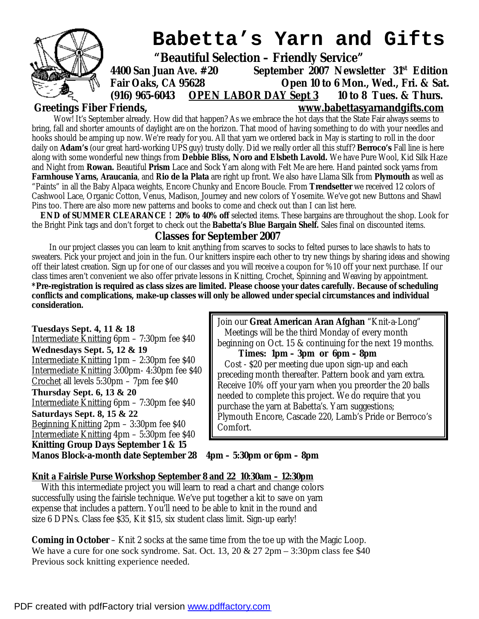

# **Babetta's Yarn and Gifts**

 **"Beautiful Selection – Friendly Service"** 

**4400 San Juan Ave. #20 September 2007 Newsletter 31st Edition Fair Oaks, CA 95628 Open 10 to 6 Mon., Wed., Fri. & Sat. (916) 965-6043 OPEN LABOR DAY Sept 3 10 to 8 Tues. & Thurs. Greetings Fiber Friends, [www.babettasyarnandgifts.com](http://www.babettasyarnandgifts.com)**

Wow! It's September already. How did that happen? As we embrace the hot days that the State Fair always seems to bring, fall and shorter amounts of daylight are on the horizon. That mood of having something to do with your needles and hooks should be amping up now. We're ready for you. All that yarn we ordered back in May is starting to roll in the door daily on **Adam's** (our great hard-working UPS guy) trusty dolly. Did we really order all this stuff? **Berroco's** Fall line is here along with some wonderful new things from **Debbie Bliss, Noro and Elsbeth Lavold.** We have Pure Wool, Kid Silk Haze and Night from **Rowan.** Beautiful **Prism** Lace and Sock Yarn along with Felt Me are here. Hand painted sock yarns from **Farmhouse Yarns, Araucania**, and **Rio de la Plata** are right up front. We also have Llama Silk from **Plymouth** as well as "Paints" in all the Baby Alpaca weights, Encore Chunky and Encore Boucle. From **Trendsetter** we received 12 colors of Cashwool Lace, Organic Cotton, Venus, Madison, Journey and new colors of Yosemite. We've got new Buttons and Shawl Pins too. There are also more new patterns and books to come and check out than I can list here.

**END of SUMMER CLEARANCE ! 20% to 40% off** selected items. These bargains are throughout the shop. Look for the Bright Pink tags and don't forget to check out the *Babetta's Blue Bargain Shelf.* Sales final on discounted items.

### **Classes for September 2007**

In our project classes you can learn to knit anything from scarves to socks to felted purses to lace shawls to hats to sweaters. Pick your project and join in the fun. Our knitters inspire each other to try new things by sharing ideas and showing off their latest creation. Sign up for one of our classes and you will receive a coupon for %10 off your next purchase. If our class times aren't convenient we also offer private lessons in Knitting, Crochet, Spinning and Weaving by appointment. **\*Pre-registration is required as class sizes are limited. Please choose your dates carefully. Because of scheduling conflicts and complications, make-up classes will only be allowed under special circumstances and individual consideration.** 

**Tuesdays Sept. 4, 11 & 18**  Intermediate Knitting 6pm – 7:30pm fee \$40 **Wednesdays Sept. 5, 12 & 19**  Intermediate Knitting 1pm – 2:30pm fee \$40 Intermediate Knitting 3:00pm- 4:30pm fee \$40 Crochet all levels 5:30pm – 7pm fee \$40 **Thursday Sept. 6, 13 & 20**  Intermediate Knitting 6pm – 7:30pm fee \$40 **Saturdays Sept. 8, 15 & 22**  Beginning Knitting 2pm – 3:30pm fee \$40 Intermediate Knitting 4pm – 5:30pm fee \$40 **Knitting Group Days September 1 & 15** 

Join our **Great American Aran Afghan** "Knit-a-Long" Meetings will be the third Monday of every month beginning on Oct. 15 & continuing for the next 19 months.

 **Times: 1pm – 3pm or 6pm – 8pm**  Cost - \$20 per meeting due upon sign-up and each preceding month thereafter. Pattern book and yarn extra. Receive 10% off your yarn when you preorder the 20 balls needed to complete this project. We do require that you purchase the yarn at Babetta's. Yarn suggestions; Plymouth Encore, Cascade 220, Lamb's Pride or Berroco's Comfort.

#### **Manos Block-a-month date September 28 4pm – 5:30pm or 6pm – 8pm**

#### **Knit a Fairisle Purse Workshop September 8 and 22 10:30am – 12:30pm**

 With this intermediate project you will learn to read a chart and change colors successfully using the fairisle technique. We've put together a kit to save on yarn expense that includes a pattern. You'll need to be able to knit in the round and size 6 DPNs. Class fee \$35, Kit \$15, six student class limit. Sign-up early!

**Coming in October** – Knit 2 socks at the same time from the toe up with the Magic Loop. We have a cure for one sock syndrome. Sat. Oct. 13, 20  $\&$  27 2pm – 3:30pm class fee \$40 Previous sock knitting experience needed.